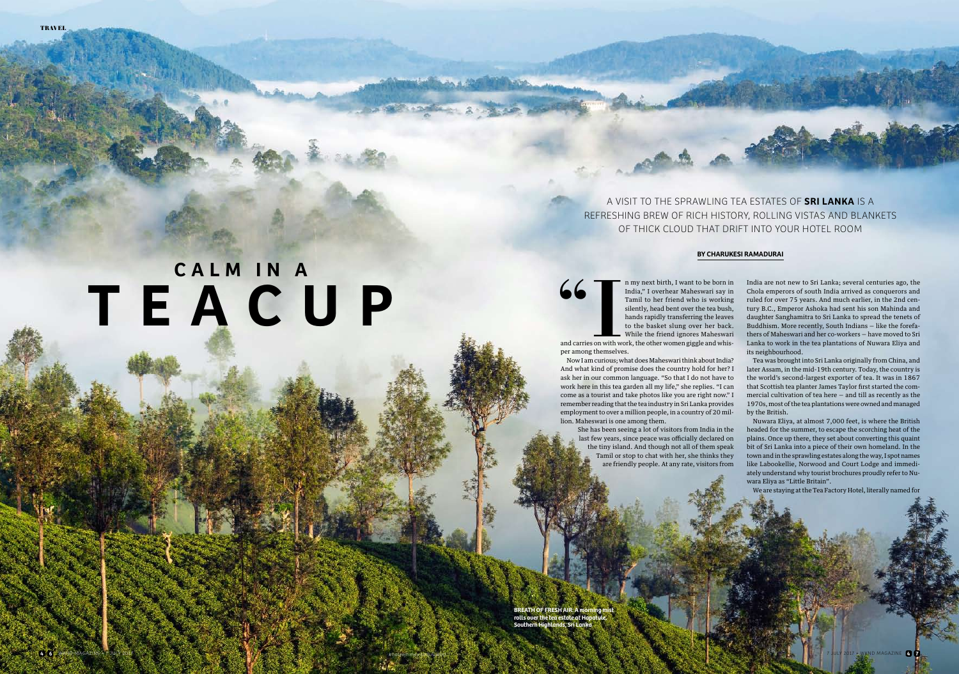A VISIT TO THE SPRAWLING TEA ESTATES OF **SRI LANKA** IS A REFRESHING BREW OF RICH HISTORY, ROLLING VISTAS AND BLANKETS OF THICK CLOUD THAT DRIFT INTO YOUR HOTEL ROOM

**BREATH OF FRESH AIR: A m** rolls over the tea estate at Ho **Southern Highlands, Sri Lanka**



## **C A L M I N A TEAC U P**



In my next birth, I want to be born in<br>India," I overhear Maheswari say in<br>Tamil to her friend who is working<br>silently, head bent over the tea bush,<br>hands rapidly transferring the leaves<br>to the basket slung over her back.<br> India," I overhear Maheswari say in Tamil to her friend who is working silently, head bent over the tea bush, hands rapidly transferring the leaves to the basket slung over her back. While the friend ignores Maheswari and carries on with work, the other women giggle and whisper among themselves.

Now I am curious; what does Maheswari think about India? And what kind of promise does the country hold for her? I ask her in our common language. "So that I do not have to work here in this tea garden all my life," she replies. "I can come as a tourist and take photos like you are right now." I remember reading that the tea industry in Sri Lanka provides employment to over a million people, in a country of 20 million. Maheswari is one among them. She has been seeing a lot of visitors from India in the last few years, since peace was officially declared on the tiny island. And though not all of them speak Tamil or stop to chat with her, she thinks they

are friendly people. At any rate, visitors from

India are not new to Sri Lanka; several centuries ago, the Chola emperors of south India arrived as conquerors and ruled for over 75 years. And much earlier, in the 2nd century B.C., Emperor Ashoka had sent his son Mahinda and daughter Sanghamitra to Sri Lanka to spread the tenets of Buddhism. More recently, South Indians — like the forefathers of Maheswari and her co-workers — have moved to Sri Lanka to work in the tea plantations of Nuwara Eliya and its neighbourhood.

Tea was brought into Sri Lanka originally from China, and later Assam, in the mid-19th century. Today, the country is the world's second-largest exporter of tea. It was in 1867 that Scottish tea planter James Taylor frst started the commercial cultivation of tea here — and till as recently as the 1970s, most of the tea plantations were owned and managed by the British.

Nuwara Eliya, at almost 7,000 feet, is where the British headed for the summer, to escape the scorching heat of the plains. Once up there, they set about converting this quaint bit of Sri Lanka into a piece of their own homeland. In the town and in the sprawling estates along the way, I spot names like Labookellie, Norwood and Court Lodge and immediately understand why tourist brochures proudly refer to Nuwara Eliya as "Little Britain".

We are staying at the Tea Factory Hotel, literally named for

## **BY CHARUKESI RAMADURAI**